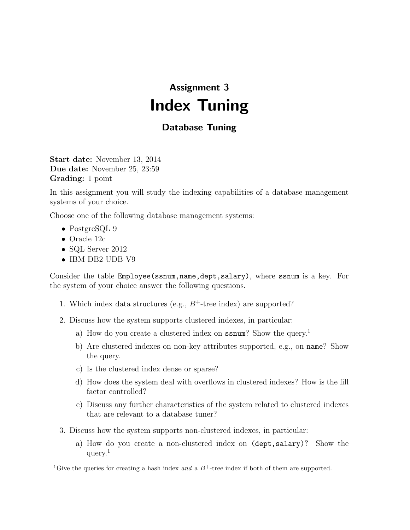## Assignment 3 Index Tuning

## Database Tuning

Start date: November 13, 2014 Due date: November 25, 23:59 Grading: 1 point

In this assignment you will study the indexing capabilities of a database management systems of your choice.

Choose one of the following database management systems:

- PostgreSQL 9
- Oracle 12c
- SQL Server 2012
- IBM DB2 UDB V9

Consider the table Employee(ssnum,name,dept,salary), where ssnum is a key. For the system of your choice answer the following questions.

- 1. Which index data structures (e.g.,  $B^+$ -tree index) are supported?
- 2. Discuss how the system supports clustered indexes, in particular:
	- a) How do you create a clustered index on ssnum? Show the query.<sup>1</sup>
	- b) Are clustered indexes on non-key attributes supported, e.g., on name? Show the query.
	- c) Is the clustered index dense or sparse?
	- d) How does the system deal with overflows in clustered indexes? How is the fill factor controlled?
	- e) Discuss any further characteristics of the system related to clustered indexes that are relevant to a database tuner?
- 3. Discuss how the system supports non-clustered indexes, in particular:
	- a) How do you create a non-clustered index on (dept,salary)? Show the query.<sup>1</sup>

<sup>&</sup>lt;sup>1</sup>Give the queries for creating a hash index and a  $B^+$ -tree index if both of them are supported.